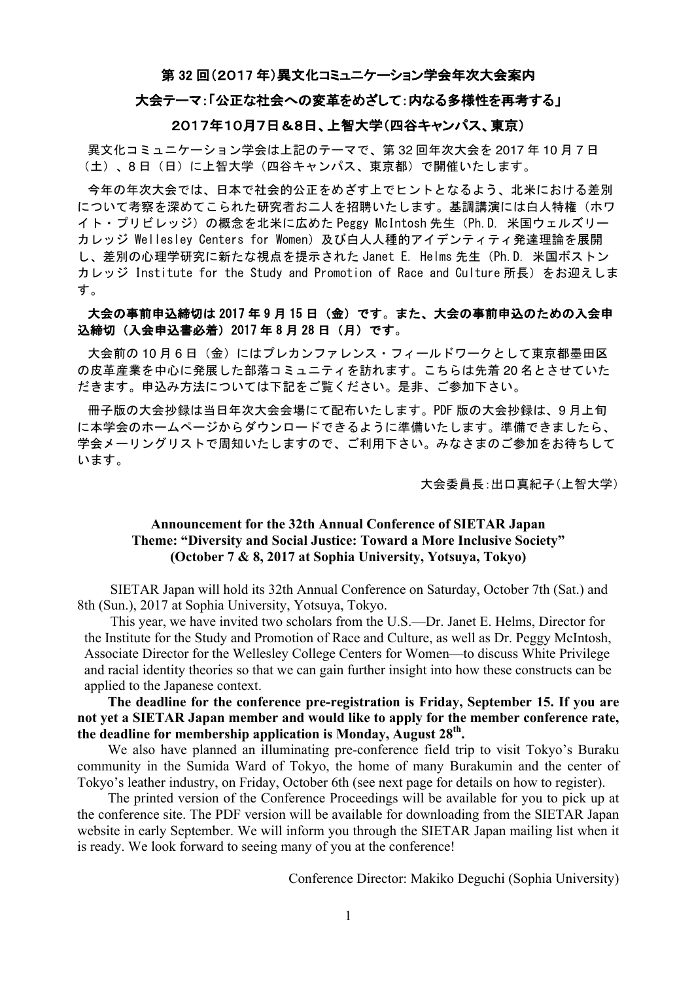#### 第 32 回(2017 年)異文化コミュニケーション学会年次大会案内

#### 大会テーマ:「公正な社会への変革をめざして:内なる多様性を再考する」

#### 2017年10月7日&8日、上智大学(四谷キャンパス、東京)

異文化コミュニケーション学会は上記のテーマで、第 32 回年次大会を 2017 年 10 月 7 日 (土)、8 日(日)に上智大学(四谷キャンパス、東京都)で開催いたします。

今年の年次大会では、日本で社会的公正をめざす上でヒントとなるよう、北米における差別 について考察を深めてこられた研究者お二人を招聘いたします。基調講演には白人特権(ホワ イト・プリビレッジ)の概念を北米に広めた Peggy McIntosh 先生(Ph.D. 米国ウェルズリー カレッジ Wellesley Centers for Women) 及び白人人種的アイデンティティ発達理論を展開 し、差別の心理学研究に新たな視点を提示された Janet E. Helms 先生(Ph.D. 米国ボストン カレッジ Institute for the Study and Promotion of Race and Culture 所長)をお迎えしま す。

## 大会の事前申込締切は 2017 年 9 月 15 日(金)です。また、大会の事前申込のための入会申 込締切(入会申込書必着)2017 年 8 月 28 日(月)です。

大会前の10月6日(金)にはプレカンファレンス・フィールドワークとして東京都墨田区 の皮革産業を中心に発展した部落コミュニティを訪れます。こちらは先着 20 名とさせていた だきます。申込み方法については下記をご覧ください。是非、ご参加下さい。

冊子版の大会抄録は当日年次大会会場にて配布いたします。PDF 版の大会抄録は、9 月上旬 に本学会のホームページからダウンロードできるように準備いたします。準備できましたら、 学会メーリングリストで周知いたしますので、ご利用下さい。みなさまのご参加をお待ちして います。

大会委員長:出口真紀子(上智大学)

### **Announcement for the 32th Annual Conference of SIETAR Japan Theme: "Diversity and Social Justice: Toward a More Inclusive Society" (October 7 & 8, 2017 at Sophia University, Yotsuya, Tokyo)**

SIETAR Japan will hold its 32th Annual Conference on Saturday, October 7th (Sat.) and 8th (Sun.), 2017 at Sophia University, Yotsuya, Tokyo.

This year, we have invited two scholars from the U.S.—Dr. Janet E. Helms, Director for the Institute for the Study and Promotion of Race and Culture, as well as Dr. Peggy McIntosh, Associate Director for the Wellesley College Centers for Women—to discuss White Privilege and racial identity theories so that we can gain further insight into how these constructs can be applied to the Japanese context.

## **The deadline for the conference pre-registration is Friday, September 15. If you are not yet a SIETAR Japan member and would like to apply for the member conference rate, the deadline for membership application is Monday, August 28th.**

We also have planned an illuminating pre-conference field trip to visit Tokyo's Buraku community in the Sumida Ward of Tokyo, the home of many Burakumin and the center of Tokyo's leather industry, on Friday, October 6th (see next page for details on how to register).

The printed version of the Conference Proceedings will be available for you to pick up at the conference site. The PDF version will be available for downloading from the SIETAR Japan website in early September. We will inform you through the SIETAR Japan mailing list when it is ready. We look forward to seeing many of you at the conference!

Conference Director: Makiko Deguchi (Sophia University)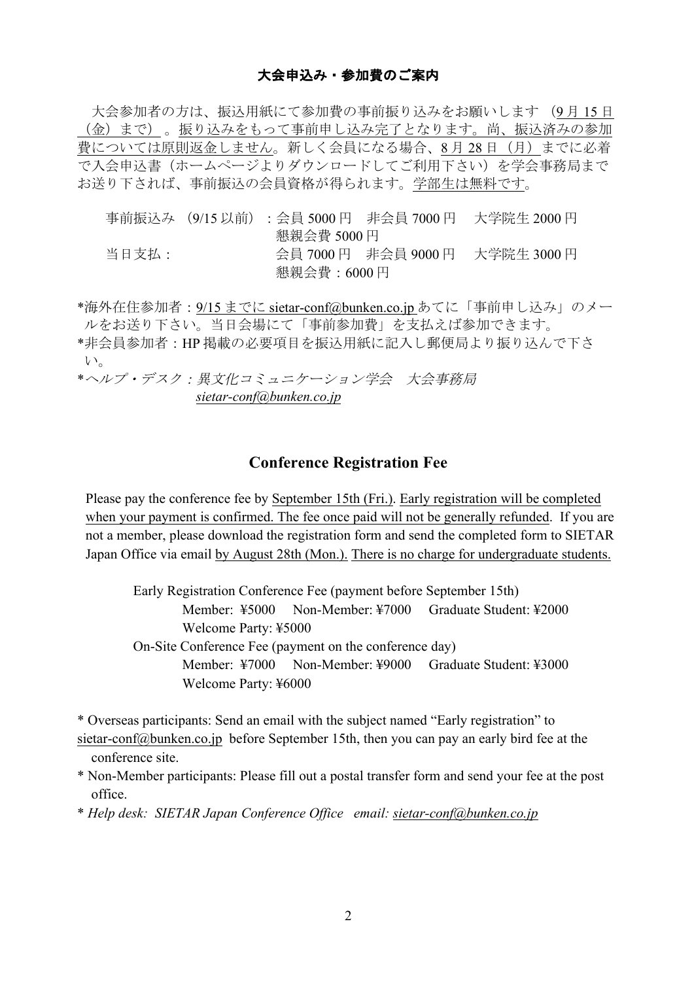# 大会申込み・参加費のご案内

大会参加者の方は、振込用紙にて参加費の事前振り込みをお願いします (9 月 15 日 (金)まで) 。振り込みをもって事前申し込み完了となります。尚、振込済みの参加 費については原則返金しません。新しく会員になる場合、8月28日(月)までに必着 で入会申込書(ホームページよりダウンロードしてご利用下さい)を学会事務局まで お送り下されば、事前振込の会員資格が得られます。学部生は無料です。

|       |             | 事前振込み (9/15 以前) : 会員 5000 円 非会員 7000 円  大学院生 2000 円 |
|-------|-------------|-----------------------------------------------------|
|       | 懇親会費 5000 円 |                                                     |
| 当日支払: |             | 会員 7000 円 非会員 9000 円 大学院生 3000 円                    |
|       | 懇親会費:6000 円 |                                                     |

\*海外在住参加者:9/15 までに sietar-conf@bunken.co.jp あてに「事前申し込み」のメー ルをお送り下さい。当日会場にて「事前参加費」を支払えば参加できます。 \*非会員参加者:HP 掲載の必要項目を振込用紙に記入し郵便局より振り込んで下さ

い。

\*ヘルプ・デスク:異文化コミュニケーション学会 大会事務局 *sietar-conf@bunken.co.jp*

# **Conference Registration Fee**

Please pay the conference fee by September 15th (Fri.). Early registration will be completed when your payment is confirmed. The fee once paid will not be generally refunded. If you are not a member, please download the registration form and send the completed form to SIETAR Japan Office via email by August 28th (Mon.). There is no charge for undergraduate students.

Early Registration Conference Fee (payment before September 15th) Member: ¥5000 Non-Member: ¥7000 Graduate Student: ¥2000 Welcome Party: ¥5000 On-Site Conference Fee (payment on the conference day) Member: ¥7000 Non-Member: ¥9000 Graduate Student: ¥3000 Welcome Party: ¥6000

\* Overseas participants: Send an email with the subject named "Early registration" to sietar-conf@bunken.co.jp before September 15th, then you can pay an early bird fee at the conference site.

\* Non-Member participants: Please fill out a postal transfer form and send your fee at the post office.

\* *Help desk: SIETAR Japan Conference Office email: sietar-conf@bunken.co.jp*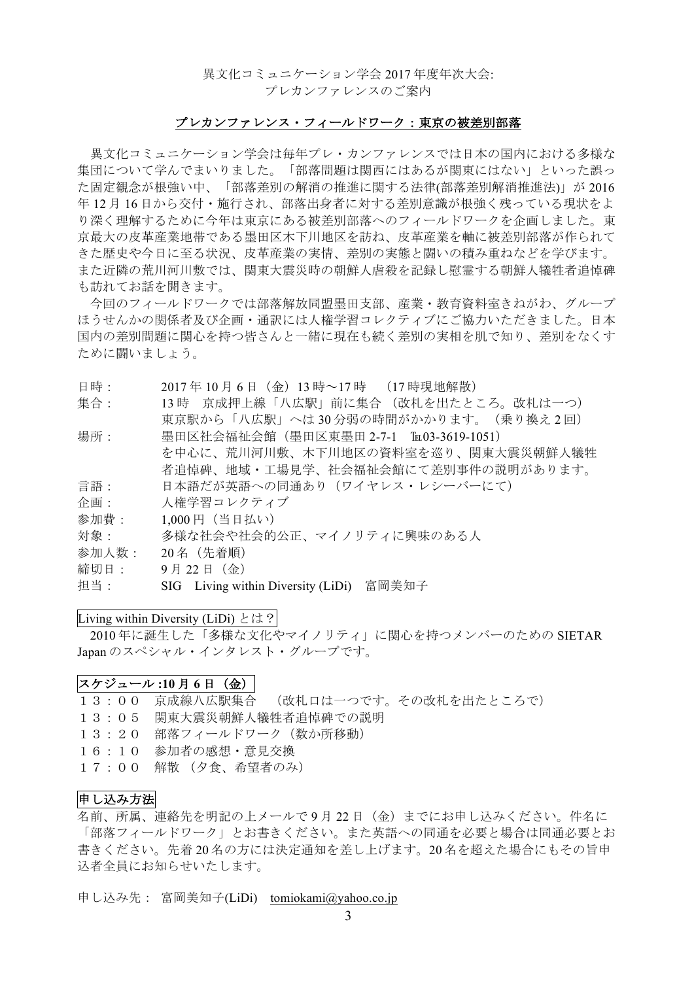### 異文化コミュニケーション学会 2017 年度年次大会: プレカンファレンスのご案内

### プレカンファレンス・フィールドワーク:東京の被差別部落

異文化コミュニケーション学会は毎年プレ・カンファレンスでは日本の国内における多様な 集団について学んでまいりました。「部落問題は関西にはあるが関東にはない」といった誤っ た固定観念が根強い中、「部落差別の解消の推進に関する法律(部落差別解消推進法)」が 2016 年 12 月 16 日から交付・施行され、部落出身者に対する差別意識が根強く残っている現状をよ り深く理解するために今年は東京にある被差別部落へのフィールドワークを企画しました。東 京最大の皮革産業地帯である墨田区木下川地区を訪ね、皮革産業を軸に被差別部落が作られて きた歴史や今日に至る状況、皮革産業の実情、差別の実態と闘いの積み重ねなどを学びます。 また近隣の荒川河川敷では、関東大震災時の朝鮮人虐殺を記録し慰霊する朝鮮人犠牲者追悼碑 も訪れてお話を聞きます。

今回のフィールドワークでは部落解放同盟墨田支部、産業・教育資料室きねがわ、グループ ほうせんかの関係者及び企画・通訳には人権学習コレクティブにご協力いただきました。日本 国内の差別問題に関心を持つ皆さんと一緒に現在も続く差別の実相を肌で知り、差別をなくす ために闘いましょう。

- 日時: 2017 年 10 月 6 日(金)13 時~17 時 (17 時現地解散)
- 集合: 13時 京成押上線「八広駅」前に集合 (改札を出たところ。改札は一つ) 東京駅から「八広駅」へは 30 分弱の時間がかかります。(乗り換え 2 回)
- 場所: 墨田区社会福祉会館(墨田区東墨田 2-7-1 ℡03-3619-1051) を中心に、荒川河川敷、木下川地区の資料室を巡り、関東大震災朝鮮人犠牲 者追悼碑、地域・工場見学、社会福祉会館にて差別事件の説明があります。 言語: 日本語だが英語への同通あり(ワイヤレス・レシーバーにて)
- 
- 企画: 人権学習コレクティブ
- 参加費: 1,000 円(当日払い)
- 対象: 多様な社会や社会的公正、マイノリティに興味のある人
- 参加人数: 20 名(先着順)
- 締切日: 9 月 22 日(金)
- 担当: SIG Living within Diversity (LiDi) 富岡美知子

#### Living within Diversity (LiDi) とは?

2010 年に誕生した「多様な文化やマイノリティ」に関心を持つメンバーのための SIETAR Japan のスペシャル・インタレスト・グループです。

#### スケジュール **:10** 月 **6** 日(金)

- 13:00 京成線八広駅集合 (改札口は一つです。その改札を出たところで)
- 13:05 関東大震災朝鮮人犠牲者追悼碑での説明
- 13:20 部落フィールドワーク(数か所移動)
- 16:10 参加者の感想・意見交換
- 17:00 解散 (夕食、希望者のみ)

## 申し込み方法

名前、所属、連絡先を明記の上メールで9月22日(金)までにお申し込みください。件名に 「部落フィールドワーク」とお書きください。また英語への同通を必要と場合は同通必要とお 書きください。先着 20 名の方には決定通知を差し上げます。20 名を超えた場合にもその旨申 込者全員にお知らせいたします。

申し込み先: 富岡美知子(LiDi) tomiokami@yahoo.co.jp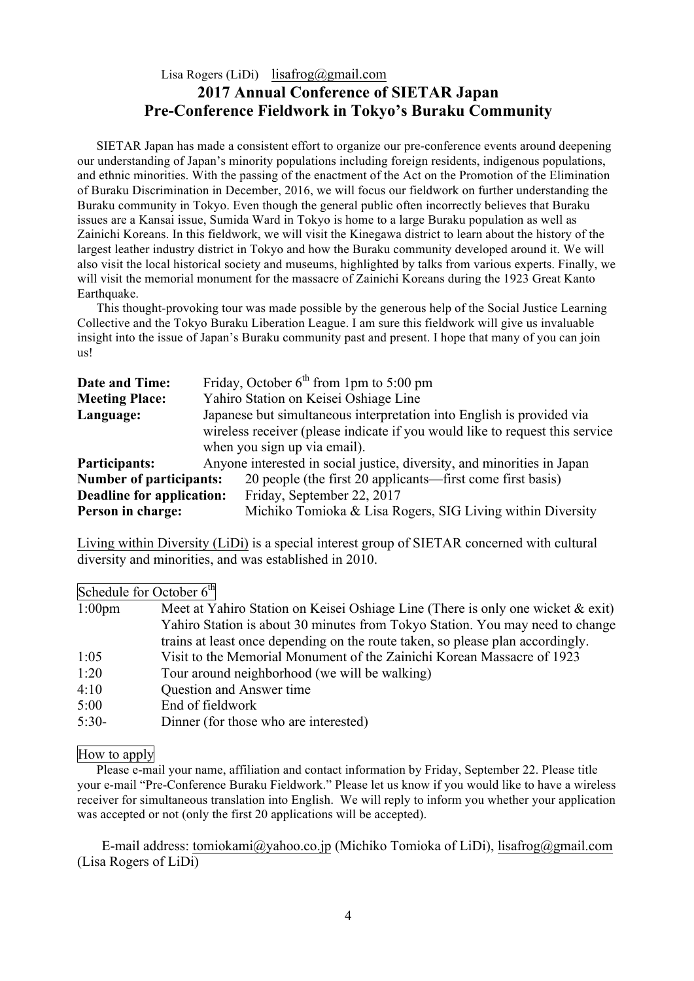# Lisa Rogers (LiDi) lisafrog@gmail.com **2017 Annual Conference of SIETAR Japan Pre-Conference Fieldwork in Tokyo's Buraku Community**

SIETAR Japan has made a consistent effort to organize our pre-conference events around deepening our understanding of Japan's minority populations including foreign residents, indigenous populations, and ethnic minorities. With the passing of the enactment of the Act on the Promotion of the Elimination of Buraku Discrimination in December, 2016, we will focus our fieldwork on further understanding the Buraku community in Tokyo. Even though the general public often incorrectly believes that Buraku issues are a Kansai issue, Sumida Ward in Tokyo is home to a large Buraku population as well as Zainichi Koreans. In this fieldwork, we will visit the Kinegawa district to learn about the history of the largest leather industry district in Tokyo and how the Buraku community developed around it. We will also visit the local historical society and museums, highlighted by talks from various experts. Finally, we will visit the memorial monument for the massacre of Zainichi Koreans during the 1923 Great Kanto Earthquake.

This thought-provoking tour was made possible by the generous help of the Social Justice Learning Collective and the Tokyo Buraku Liberation League. I am sure this fieldwork will give us invaluable insight into the issue of Japan's Buraku community past and present. I hope that many of you can join us!

| Date and Time:                 | Friday, October $6^{th}$ from 1pm to 5:00 pm                                 |  |  |
|--------------------------------|------------------------------------------------------------------------------|--|--|
| <b>Meeting Place:</b>          | Yahiro Station on Keisei Oshiage Line                                        |  |  |
| Language:                      | Japanese but simultaneous interpretation into English is provided via        |  |  |
|                                | wireless receiver (please indicate if you would like to request this service |  |  |
|                                | when you sign up via email).                                                 |  |  |
| <b>Participants:</b>           | Anyone interested in social justice, diversity, and minorities in Japan      |  |  |
| <b>Number of participants:</b> | 20 people (the first 20 applicants—first come first basis)                   |  |  |
| Deadline for application:      | Friday, September 22, 2017                                                   |  |  |
| Person in charge:              | Michiko Tomioka & Lisa Rogers, SIG Living within Diversity                   |  |  |

Living within Diversity (LiDi) is a special interest group of SIETAR concerned with cultural diversity and minorities, and was established in 2010.

|                  | Schedule for October $6th$                                                         |
|------------------|------------------------------------------------------------------------------------|
| $1:00 \text{pm}$ | Meet at Yahiro Station on Keisei Oshiage Line (There is only one wicket $\&$ exit) |
|                  | Yahiro Station is about 30 minutes from Tokyo Station. You may need to change      |
|                  | trains at least once depending on the route taken, so please plan accordingly.     |
| 1:05             | Visit to the Memorial Monument of the Zainichi Korean Massacre of 1923             |
| 1:20             | Tour around neighborhood (we will be walking)                                      |
| 4:10             | Question and Answer time                                                           |
| 5:00             | End of fieldwork                                                                   |
| $5:30-$          | Dinner (for those who are interested)                                              |

#### How to apply

Please e-mail your name, affiliation and contact information by Friday, September 22. Please title your e-mail "Pre-Conference Buraku Fieldwork." Please let us know if you would like to have a wireless receiver for simultaneous translation into English. We will reply to inform you whether your application was accepted or not (only the first 20 applications will be accepted).

 E-mail address: tomiokami@yahoo.co.jp (Michiko Tomioka of LiDi), lisafrog@gmail.com (Lisa Rogers of LiDi)